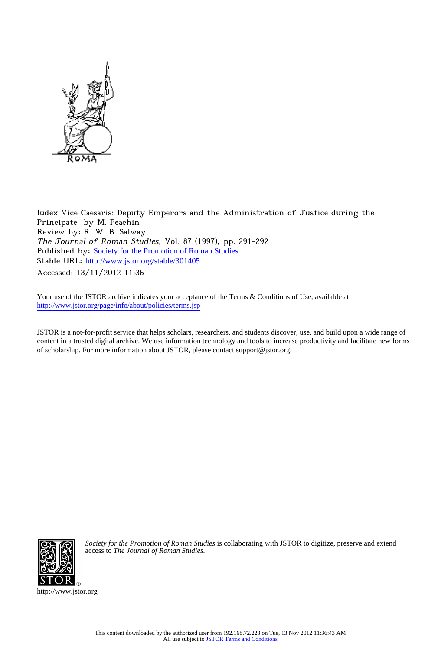

Iudex Vice Caesaris: Deputy Emperors and the Administration of Justice during the Principate by M. Peachin Review by: R. W. B. Salway The Journal of Roman Studies, Vol. 87 (1997), pp. 291-292 Published by: [Society for the Promotion of Roman Studies](http://www.jstor.org/action/showPublisher?publisherCode=sprs) Stable URL: http://www.jstor.org/stable/301405 Accessed: 13/11/2012 11:36

Your use of the JSTOR archive indicates your acceptance of the Terms & Conditions of Use, available at <http://www.jstor.org/page/info/about/policies/terms.jsp>

JSTOR is a not-for-profit service that helps scholars, researchers, and students discover, use, and build upon a wide range of content in a trusted digital archive. We use information technology and tools to increase productivity and facilitate new forms of scholarship. For more information about JSTOR, please contact support@jstor.org.



*Society for the Promotion of Roman Studies* is collaborating with JSTOR to digitize, preserve and extend access to *The Journal of Roman Studies.*

http://www.jstor.org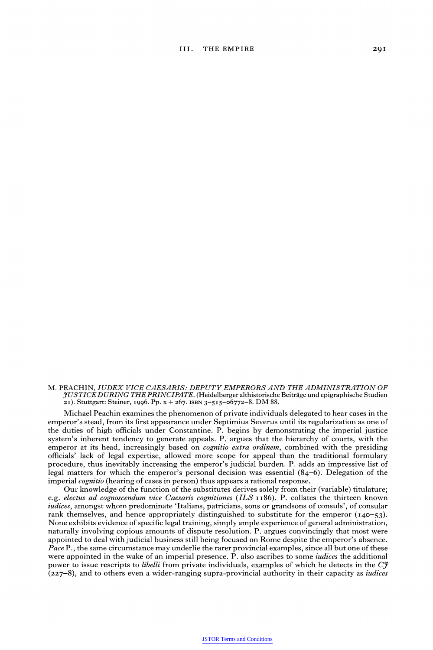**M. PEACHIN, IUDEX VICE CAESARIS: DEPUTY EMPERORS AND THE ADMINISTRATION OF YUSTICEDURING THE PRINCIPATE. (Heidelberger althistorische Beitraige und epigraphische Studien 21). Stuttgart: Steiner, I996. Pp. X + 267. ISBN 3-515-o6772-8. DM 88.** 

**Michael Peachin examines the phenomenon of private individuals delegated to hear cases in the emperor's stead, from its first appearance under Septimius Severus until its regularization as one of the duties of high officials under Constantine. P. begins by demonstrating the imperial justice system's inherent tendency to generate appeals. P. argues that the hierarchy of courts, with the emperor at its head, increasingly based on cognitio extra ordinem, combined with the presiding officials' lack of legal expertise, allowed more scope for appeal than the traditional formulary procedure, thus inevitably increasing the emperor's judicial burden. P. adds an impressive list of legal matters for which the emperor's personal decision was essential (84-6). Delegation of the imperial cognitio (hearing of cases in person) thus appears a rational response.** 

**Our knowledge of the function of the substitutes derives solely from their (variable) titulature; e.g. electus ad cognoscendum vice Caesaris cognitiones (ILS ii86). P. collates the thirteen known iudices, amongst whom predominate 'Italians, patricians, sons or grandsons of consuls', of consular**  rank themselves, and hence appropriately distinguished to substitute for the emperor  $(140-53)$ . **None exhibits evidence of specific legal training, simply ample experience of general administration, naturally involving copious amounts of dispute resolution. P. argues convincingly that most were appointed to deal with judicial business still being focused on Rome despite the emperor's absence. Pace P., the same circumstance may underlie the rarer provincial examples, since all but one of these were appointed in the wake of an imperial presence. P. also ascribes to some iudices the additional power to issue rescripts to libelli from private individuals, examples of which he detects in the Cy (227-8), and to others even a wider-ranging supra-provincial authority in their capacity as iudices**